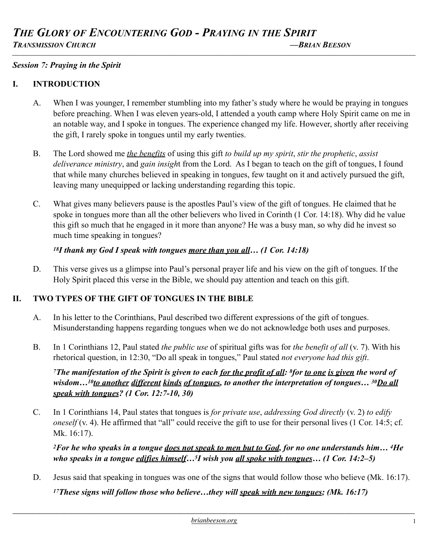*TRANSMISSION CHURCH —BRIAN BEESON \_\_\_\_\_\_\_\_\_\_\_\_\_\_\_\_\_\_\_\_\_\_\_\_\_\_\_\_\_\_\_\_\_\_\_\_\_\_\_\_\_\_\_\_\_\_\_\_\_\_\_\_\_\_\_\_\_\_\_\_\_\_\_\_\_\_\_\_\_\_\_\_\_\_\_\_\_\_\_\_\_\_\_\_\_\_\_\_\_\_\_\_\_\_\_\_\_\_\_\_\_\_\_\_\_\_\_\_\_\_\_\_\_\_\_\_\_\_\_\_\_\_\_\_\_\_\_\_\_\_\_\_\_\_\_\_\_\_\_\_\_\_\_\_*

### *Session 7: Praying in the Spirit*

### **I. INTRODUCTION**

- A. When I was younger, I remember stumbling into my father's study where he would be praying in tongues before preaching. When I was eleven years-old, I attended a youth camp where Holy Spirit came on me in an notable way, and I spoke in tongues. The experience changed my life. However, shortly after receiving the gift, I rarely spoke in tongues until my early twenties.
- B. The Lord showed me *the benefits* of using this gift *to build up my spirit*, *stir the prophetic*, *assist deliverance ministry*, and *gain insigh*t from the Lord. As I began to teach on the gift of tongues, I found that while many churches believed in speaking in tongues, few taught on it and actively pursued the gift, leaving many unequipped or lacking understanding regarding this topic.
- C. What gives many believers pause is the apostles Paul's view of the gift of tongues. He claimed that he spoke in tongues more than all the other believers who lived in Corinth (1 Cor. 14:18). Why did he value this gift so much that he engaged in it more than anyone? He was a busy man, so why did he invest so much time speaking in tongues?

### *18I thank my God I speak with tongues more than you all… (1 Cor. 14:18)*

D. This verse gives us a glimpse into Paul's personal prayer life and his view on the gift of tongues. If the Holy Spirit placed this verse in the Bible, we should pay attention and teach on this gift.

### **II. TWO TYPES OF THE GIFT OF TONGUES IN THE BIBLE**

- A. In his letter to the Corinthians, Paul described two different expressions of the gift of tongues. Misunderstanding happens regarding tongues when we do not acknowledge both uses and purposes.
- B. In 1 Corinthians 12, Paul stated *the public use* of spiritual gifts was for *the benefit of all* (v. 7). With his rhetorical question, in 12:30, "Do all speak in tongues," Paul stated *not everyone had this gift*.

*7The manifestation of the Spirit is given to each for the profit of all: 8for to one is given the word of wisdom…10to another different kinds of tongues, to another the interpretation of tongues… 30Do all speak with tongues? (1 Cor. 12:7-10, 30)* 

C. In 1 Corinthians 14, Paul states that tongues is *for private use*, *addressing God directly* (v. 2) *to edify oneself* (v. 4). He affirmed that "all" could receive the gift to use for their personal lives (1 Cor. 14:5; cf. Mk. 16:17).

*2For he who speaks in a tongue does not speak to men but to God, for no one understands him… 4He who speaks in a tongue edifies himself…5I wish you all spoke with tongues… (1 Cor. 14:2–5)*

D. Jesus said that speaking in tongues was one of the signs that would follow those who believe (Mk. 16:17).

*17These signs will follow those who believe…they will speak with new tongues; (Mk. 16:17)*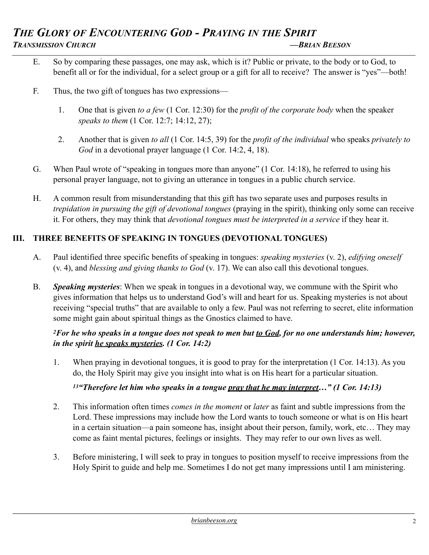## *THE GLORY OF ENCOUNTERING GOD - PRAYING IN THE SPIRIT TRANSMISSION CHURCH —BRIAN BEESON \_\_\_\_\_\_\_\_\_\_\_\_\_\_\_\_\_\_\_\_\_\_\_\_\_\_\_\_\_\_\_\_\_\_\_\_\_\_\_\_\_\_\_\_\_\_\_\_\_\_\_\_\_\_\_\_\_\_\_\_\_\_\_\_\_\_\_\_\_\_\_\_\_\_\_\_\_\_\_\_\_\_\_\_\_\_\_\_\_\_\_\_\_\_\_\_\_\_\_\_\_\_\_\_\_\_\_\_\_\_\_\_\_\_\_\_\_\_\_\_\_\_\_\_\_\_\_\_\_\_\_\_\_\_\_\_\_\_\_\_\_\_\_\_*

- E. So by comparing these passages, one may ask, which is it? Public or private, to the body or to God, to benefit all or for the individual, for a select group or a gift for all to receive? The answer is "yes"—both!
- F. Thus, the two gift of tongues has two expressions—
	- 1. One that is given *to a few* (1 Cor. 12:30) for the *profit of the corporate body* when the speaker *speaks to them* (1 Cor. 12:7; 14:12, 27);
	- 2. Another that is given *to all* (1 Cor. 14:5, 39) for the *profit of the individual* who speaks *privately to God* in a devotional prayer language (1 Cor. 14:2, 4, 18).
- G. When Paul wrote of "speaking in tongues more than anyone" (1 Cor. 14:18), he referred to using his personal prayer language, not to giving an utterance in tongues in a public church service.
- H. A common result from misunderstanding that this gift has two separate uses and purposes results in *trepidation in pursuing the gift of devotional tongues* (praying in the spirit), thinking only some can receive it. For others, they may think that *devotional tongues must be interpreted in a service* if they hear it.

# **III. THREE BENEFITS OF SPEAKING IN TONGUES (DEVOTIONAL TONGUES)**

- A. Paul identified three specific benefits of speaking in tongues: *speaking mysteries* (v. 2), *edifying oneself*  (v. 4), and *blessing and giving thanks to God* (v. 17). We can also call this devotional tongues.
- B. *Speaking mysteries*: When we speak in tongues in a devotional way, we commune with the Spirit who gives information that helps us to understand God's will and heart for us. Speaking mysteries is not about receiving "special truths" that are available to only a few. Paul was not referring to secret, elite information some might gain about spiritual things as the Gnostics claimed to have.

## *2For he who speaks in a tongue does not speak to men but to God, for no one understands him; however, in the spirit he speaks mysteries. (1 Cor. 14:2)*

1. When praying in devotional tongues, it is good to pray for the interpretation (1 Cor. 14:13). As you do, the Holy Spirit may give you insight into what is on His heart for a particular situation.

# *13"Therefore let him who speaks in a tongue pray that he may interpret…" (1 Cor. 14:13)*

- 2. This information often times *comes in the moment* or *later* as faint and subtle impressions from the Lord. These impressions may include how the Lord wants to touch someone or what is on His heart in a certain situation—a pain someone has, insight about their person, family, work, etc… They may come as faint mental pictures, feelings or insights. They may refer to our own lives as well.
- 3. Before ministering, I will seek to pray in tongues to position myself to receive impressions from the Holy Spirit to guide and help me. Sometimes I do not get many impressions until I am ministering.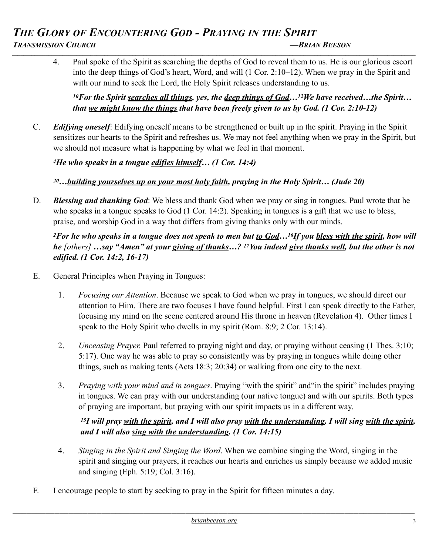## *THE GLORY OF ENCOUNTERING GOD - PRAYING IN THE SPIRIT TRANSMISSION CHURCH —BRIAN BEESON \_\_\_\_\_\_\_\_\_\_\_\_\_\_\_\_\_\_\_\_\_\_\_\_\_\_\_\_\_\_\_\_\_\_\_\_\_\_\_\_\_\_\_\_\_\_\_\_\_\_\_\_\_\_\_\_\_\_\_\_\_\_\_\_\_\_\_\_\_\_\_\_\_\_\_\_\_\_\_\_\_\_\_\_\_\_\_\_\_\_\_\_\_\_\_\_\_\_\_\_\_\_\_\_\_\_\_\_\_\_\_\_\_\_\_\_\_\_\_\_\_\_\_\_\_\_\_\_\_\_\_\_\_\_\_\_\_\_\_\_\_\_\_\_*

4. Paul spoke of the Spirit as searching the depths of God to reveal them to us. He is our glorious escort into the deep things of God's heart, Word, and will (1 Cor. 2:10–12). When we pray in the Spirit and with our mind to seek the Lord, the Holy Spirit releases understanding to us.

*10For the Spirit searches all things, yes, the deep things of God…12We have received…the Spirit… that we might know the things that have been freely given to us by God. (1 Cor. 2:10-12)* 

C. *Edifying oneself*: Edifying oneself means to be strengthened or built up in the spirit. Praying in the Spirit sensitizes our hearts to the Spirit and refreshes us. We may not feel anything when we pray in the Spirit, but we should not measure what is happening by what we feel in that moment.

## *4He who speaks in a tongue edifies himself… (1 Cor. 14:4)*

*20…building yourselves up on your most holy faith, praying in the Holy Spirit… (Jude 20)* 

D. *Blessing and thanking God*: We bless and thank God when we pray or sing in tongues. Paul wrote that he who speaks in a tongue speaks to God (1 Cor. 14:2). Speaking in tongues is a gift that we use to bless, praise, and worship God in a way that differs from giving thanks only with our minds.

*2For he who speaks in a tongue does not speak to men but to God…16If you bless with the spirit, how will he [others] …say "Amen" at your giving of thanks…? 17You indeed give thanks well, but the other is not edified. (1 Cor. 14:2, 16-17)* 

- E. General Principles when Praying in Tongues:
	- 1. *Focusing our Attention*. Because we speak to God when we pray in tongues, we should direct our attention to Him. There are two focuses I have found helpful. First I can speak directly to the Father, focusing my mind on the scene centered around His throne in heaven (Revelation 4). Other times I speak to the Holy Spirit who dwells in my spirit (Rom. 8:9; 2 Cor. 13:14).
	- 2. *Unceasing Prayer.* Paul referred to praying night and day, or praying without ceasing (1 Thes. 3:10; 5:17). One way he was able to pray so consistently was by praying in tongues while doing other things, such as making tents (Acts 18:3; 20:34) or walking from one city to the next.
	- 3. *Praying with your mind and in tongues*. Praying "with the spirit" and"in the spirit" includes praying in tongues. We can pray with our understanding (our native tongue) and with our spirits. Both types of praying are important, but praying with our spirit impacts us in a different way.

# *15I will pray with the spirit, and I will also pray with the understanding. I will sing with the spirit, and I will also sing with the understanding. (1 Cor. 14:15)*

- 4. *Singing in the Spirit and Singing the Word*. When we combine singing the Word, singing in the spirit and singing our prayers, it reaches our hearts and enriches us simply because we added music and singing (Eph. 5:19; Col. 3:16).
- F. I encourage people to start by seeking to pray in the Spirit for fifteen minutes a day.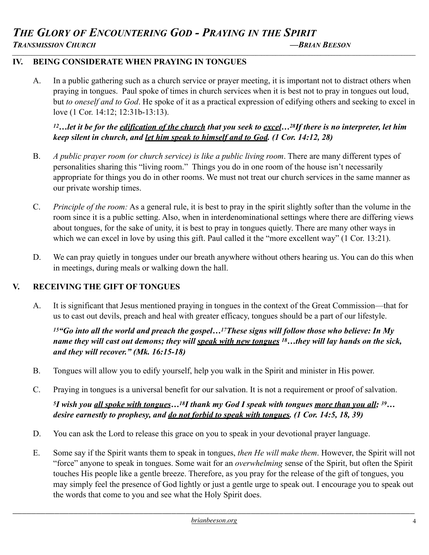## **IV. BEING CONSIDERATE WHEN PRAYING IN TONGUES**

A. In a public gathering such as a church service or prayer meeting, it is important not to distract others when praying in tongues. Paul spoke of times in church services when it is best not to pray in tongues out loud, but *to oneself and to God*. He spoke of it as a practical expression of edifying others and seeking to excel in love (1 Cor. 14:12; 12:31b-13:13).

*12…let it be for the edification of the church that you seek to excel…28If there is no interpreter, let him keep silent in church, and let him speak to himself and to God. (1 Cor. 14:12, 28)* 

- B. *A public prayer room (or church service) is like a public living room*. There are many different types of personalities sharing this "living room." Things you do in one room of the house isn't necessarily appropriate for things you do in other rooms. We must not treat our church services in the same manner as our private worship times.
- C. *Principle of the room:* As a general rule, it is best to pray in the spirit slightly softer than the volume in the room since it is a public setting. Also, when in interdenominational settings where there are differing views about tongues, for the sake of unity, it is best to pray in tongues quietly. There are many other ways in which we can excel in love by using this gift. Paul called it the "more excellent way" (1 Cor. 13:21).
- D. We can pray quietly in tongues under our breath anywhere without others hearing us. You can do this when in meetings, during meals or walking down the hall.

# **V. RECEIVING THE GIFT OF TONGUES**

A. It is significant that Jesus mentioned praying in tongues in the context of the Great Commission—that for us to cast out devils, preach and heal with greater efficacy, tongues should be a part of our lifestyle.

*15"Go into all the world and preach the gospel…17These signs will follow those who believe: In My name they will cast out demons; they will speak with new tongues 18…they will lay hands on the sick, and they will recover." (Mk. 16:15-18)* 

- B. Tongues will allow you to edify yourself, help you walk in the Spirit and minister in His power.
- C. Praying in tongues is a universal benefit for our salvation. It is not a requirement or proof of salvation.

*5I wish you all spoke with tongues…18I thank my God I speak with tongues more than you all; 39… desire earnestly to prophesy, and do not forbid to speak with tongues. (1 Cor. 14:5, 18, 39)* 

- D. You can ask the Lord to release this grace on you to speak in your devotional prayer language.
- E. Some say if the Spirit wants them to speak in tongues, *then He will make them*. However, the Spirit will not "force" anyone to speak in tongues. Some wait for an *overwhelming* sense of the Spirit, but often the Spirit touches His people like a gentle breeze. Therefore, as you pray for the release of the gift of tongues, you may simply feel the presence of God lightly or just a gentle urge to speak out. I encourage you to speak out the words that come to you and see what the Holy Spirit does.